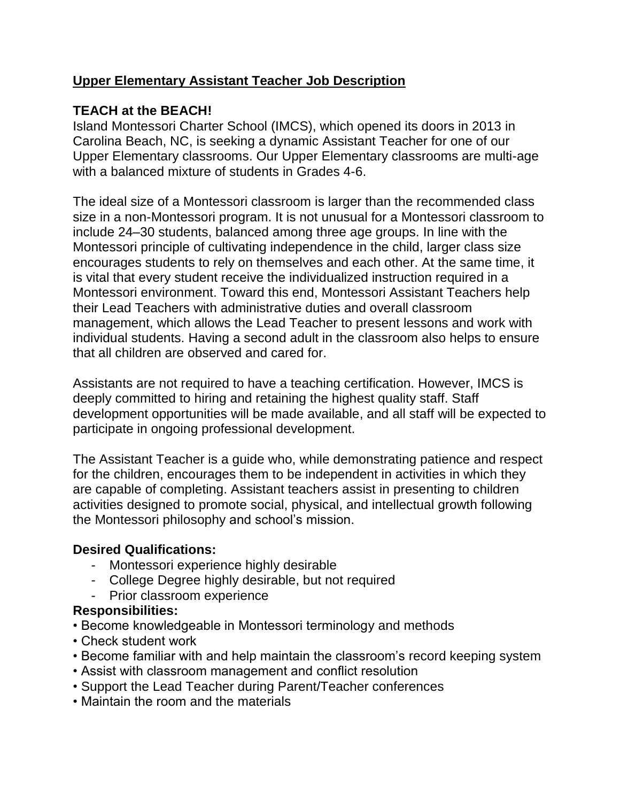## **Upper Elementary Assistant Teacher Job Description**

## **TEACH at the BEACH!**

Island Montessori Charter School (IMCS), which opened its doors in 2013 in Carolina Beach, NC, is seeking a dynamic Assistant Teacher for one of our Upper Elementary classrooms. Our Upper Elementary classrooms are multi-age with a balanced mixture of students in Grades 4-6.

The ideal size of a Montessori classroom is larger than the recommended class size in a non-Montessori program. It is not unusual for a Montessori classroom to include 24–30 students, balanced among three age groups. In line with the Montessori principle of cultivating independence in the child, larger class size encourages students to rely on themselves and each other. At the same time, it is vital that every student receive the individualized instruction required in a Montessori environment. Toward this end, Montessori Assistant Teachers help their Lead Teachers with administrative duties and overall classroom management, which allows the Lead Teacher to present lessons and work with individual students. Having a second adult in the classroom also helps to ensure that all children are observed and cared for.

Assistants are not required to have a teaching certification. However, IMCS is deeply committed to hiring and retaining the highest quality staff. Staff development opportunities will be made available, and all staff will be expected to participate in ongoing professional development.

The Assistant Teacher is a guide who, while demonstrating patience and respect for the children, encourages them to be independent in activities in which they are capable of completing. Assistant teachers assist in presenting to children activities designed to promote social, physical, and intellectual growth following the Montessori philosophy and school's mission.

## **Desired Qualifications:**

- Montessori experience highly desirable
- College Degree highly desirable, but not required
- Prior classroom experience

## **Responsibilities:**

- Become knowledgeable in Montessori terminology and methods
- Check student work
- Become familiar with and help maintain the classroom's record keeping system
- Assist with classroom management and conflict resolution
- Support the Lead Teacher during Parent/Teacher conferences
- Maintain the room and the materials